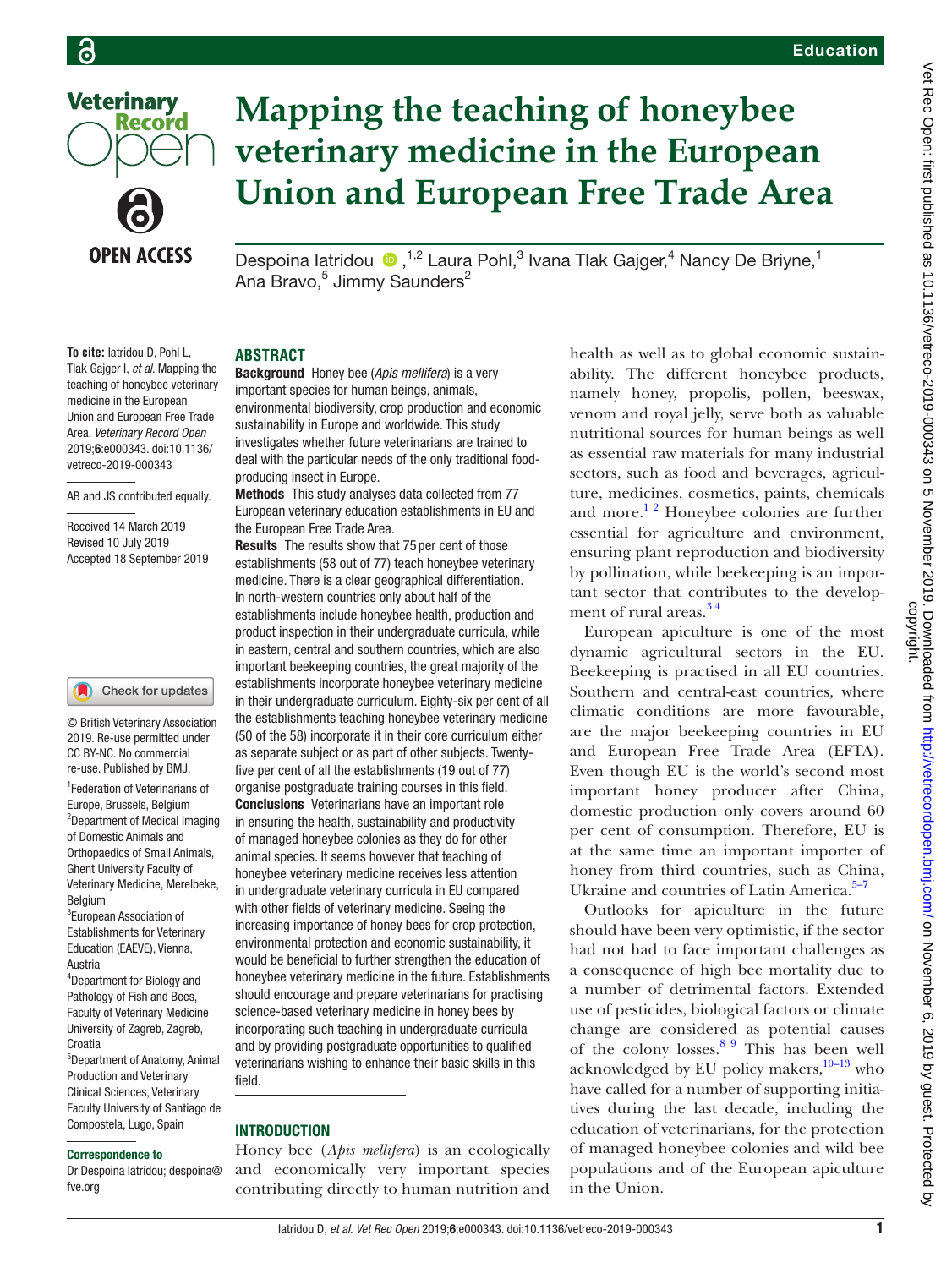

# **Record**

**OPEN ACCESS** 

## **Mapping the teaching of honeybee veterinary medicine in the European Union and European Free Trade Area**

Despoina latridou (D, <sup>1,2</sup> Laura Pohl,<sup>3</sup> Ivana Tlak Gajger,<sup>4</sup> Nancy De Briyne,<sup>1</sup> Ana Bravo,<sup>5</sup> Jimmy Saunders<sup>2</sup>

**To cite:** Iatridou D, Pohl L, Tlak Gajger I, *et al*. Mapping the teaching of honeybee veterinary medicine in the European Union and European Free Trade Area. *Veterinary Record Open* 2019;6:e000343. doi:10.1136/ vetreco-2019-000343

#### AB and JS contributed equally.

Received 14 March 2019 Revised 10 July 2019 Accepted 18 September 2019

#### Check for updates

© British Veterinary Association 2019. Re-use permitted under CC BY-NC. No commercial re-use. Published by BMJ.

1 Federation of Veterinarians of Europe, Brussels, Belgium <sup>2</sup>Department of Medical Imaging of Domestic Animals and Orthopaedics of Small Animals, Ghent University Faculty of Veterinary Medicine, Merelbeke, Belgium

<sup>3</sup>European Association of Establishments for Veterinary Education (EAEVE), Vienna, Austria

4 Department for Biology and Pathology of Fish and Bees, Faculty of Veterinary Medicine University of Zagreb, Zagreb, **Croatia** 

5 Department of Anatomy, Animal Production and Veterinary Clinical Sciences, Veterinary Faculty University of Santiago de Compostela, Lugo, Spain

#### Correspondence to

Dr Despoina Iatridou; despoina@ fve.org

#### **Abstract**

Background Honey bee (*Apis mellifera*) is a very important species for human beings, animals, environmental biodiversity, crop production and economic sustainability in Europe and worldwide. This study investigates whether future veterinarians are trained to deal with the particular needs of the only traditional foodproducing insect in Europe.

Methods This study analyses data collected from 77 European veterinary education establishments in EU and the European Free Trade Area.

Results The results show that 75 per cent of those establishments (58 out of 77) teach honeybee veterinary medicine. There is a clear geographical differentiation. In north-western countries only about half of the establishments include honeybee health, production and product inspection in their undergraduate curricula, while in eastern, central and southern countries, which are also important beekeeping countries, the great majority of the establishments incorporate honeybee veterinary medicine in their undergraduate curriculum. Eighty-six per cent of all the establishments teaching honeybee veterinary medicine (50 of the 58) incorporate it in their core curriculum either as separate subject or as part of other subjects. Twentyfive per cent of all the establishments (19 out of 77) organise postgraduate training courses in this field. Conclusions Veterinarians have an important role in ensuring the health, sustainability and productivity of managed honeybee colonies as they do for other animal species. It seems however that teaching of honeybee veterinary medicine receives less attention in undergraduate veterinary curricula in EU compared with other fields of veterinary medicine. Seeing the increasing importance of honey bees for crop protection, environmental protection and economic sustainability, it would be beneficial to further strengthen the education of honeybee veterinary medicine in the future. Establishments should encourage and prepare veterinarians for practising science-based veterinary medicine in honey bees by incorporating such teaching in undergraduate curricula and by providing postgraduate opportunities to qualified veterinarians wishing to enhance their basic skills in this field.

#### **INTRODUCTION**

Honey bee (*Apis mellifera*) is an ecologically and economically very important species contributing directly to human nutrition and health as well as to global economic sustainability. The different honeybee products, namely honey, propolis, pollen, beeswax, venom and royal jelly, serve both as valuable nutritional sources for human beings as well as essential raw materials for many industrial sectors, such as food and beverages, agriculture, medicines, cosmetics, paints, chemicals and more. $1<sup>2</sup>$  Honeybee colonies are further essential for agriculture and environment, ensuring plant reproduction and biodiversity by pollination, while beekeeping is an important sector that contributes to the development of rural areas.<sup>34</sup>

European apiculture is one of the most dynamic agricultural sectors in the EU. Beekeeping is practised in all EU countries. Southern and central-east countries, where climatic conditions are more favourable, are the major beekeeping countries in EU and European Free Trade Area (EFTA). Even though EU is the world's second most important honey producer after China, domestic production only covers around 60 per cent of consumption. Therefore, EU is at the same time an important importer of honey from third countries, such as China, Ukraine and countries of Latin America.<sup>5-7</sup>

Outlooks for apiculture in the future should have been very optimistic, if the sector had not had to face important challenges as a consequence of high bee mortality due to a number of detrimental factors. Extended use of pesticides, biological factors or climate change are considered as potential causes of the colony losses. $89$  This has been well acknowledged by EU policy makers,<sup>10-13</sup> who have called for a number of supporting initiatives during the last decade, including the education of veterinarians, for the protection of managed honeybee colonies and wild bee populations and of the European apiculture in the Union.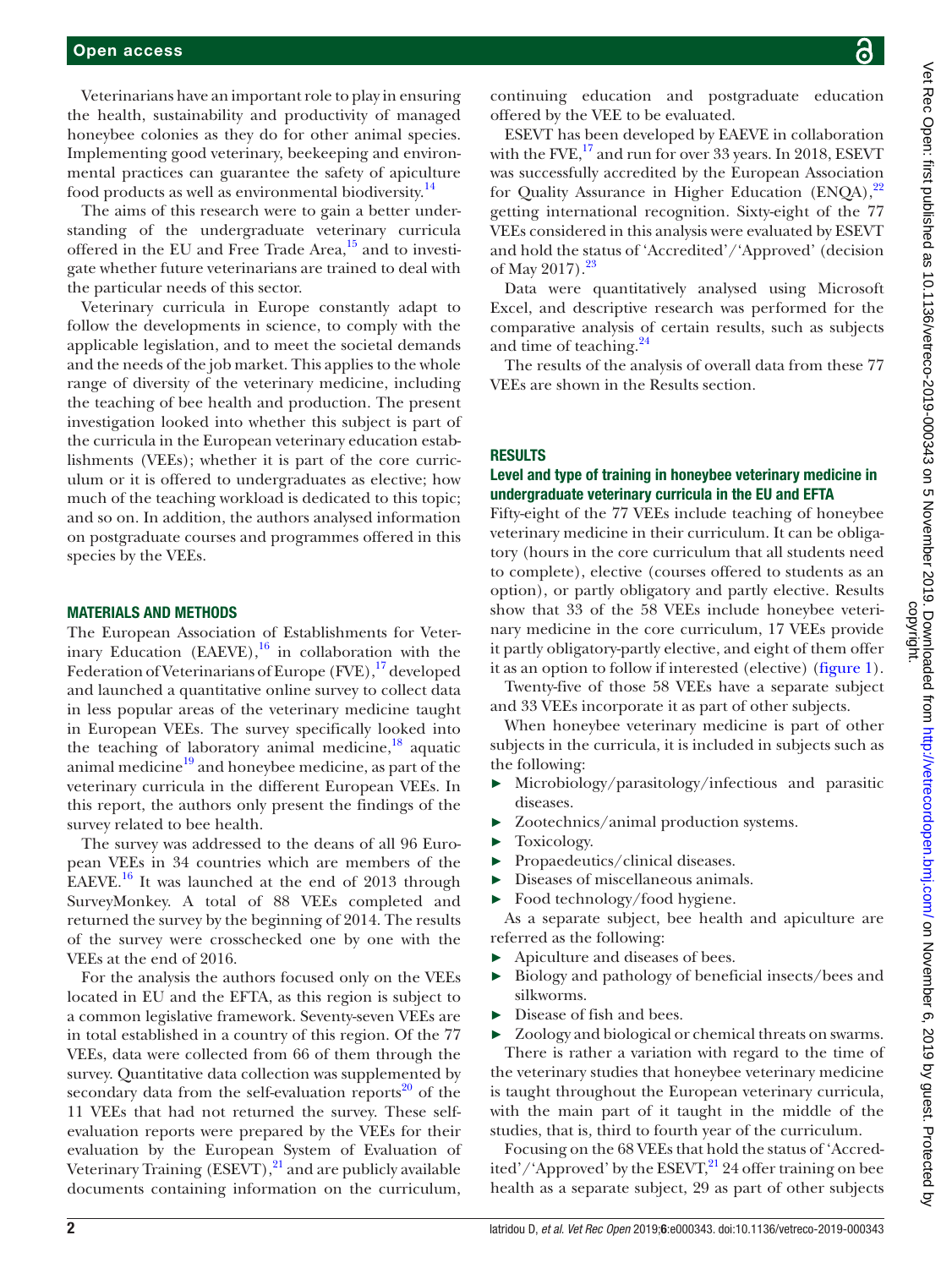Veterinarians have an important role to play in ensuring the health, sustainability and productivity of managed honeybee colonies as they do for other animal species. Implementing good veterinary, beekeeping and environmental practices can guarantee the safety of apiculture food products as well as environmental biodiversity.[14](#page-8-3)

The aims of this research were to gain a better understanding of the undergraduate veterinary curricula offered in the EU and Free Trade Area, $15$  and to investigate whether future veterinarians are trained to deal with the particular needs of this sector.

Veterinary curricula in Europe constantly adapt to follow the developments in science, to comply with the applicable legislation, and to meet the societal demands and the needs of the job market. This applies to the whole range of diversity of the veterinary medicine, including the teaching of bee health and production. The present investigation looked into whether this subject is part of the curricula in the European veterinary education establishments (VEEs); whether it is part of the core curriculum or it is offered to undergraduates as elective; how much of the teaching workload is dedicated to this topic; and so on. In addition, the authors analysed information on postgraduate courses and programmes offered in this species by the VEEs.

#### Materials and methods

The European Association of Establishments for Veterinary Education (EAEVE), $^{16}$  in collaboration with the Federation of Veterinarians of Europe  $(FVE)$ ,  $^{17}$  developed and launched a quantitative online survey to collect data in less popular areas of the veterinary medicine taught in European VEEs. The survey specifically looked into the teaching of laboratory animal medicine, $18$  aquatic animal medicine $19$  and honeybee medicine, as part of the veterinary curricula in the different European VEEs. In this report, the authors only present the findings of the survey related to bee health.

The survey was addressed to the deans of all 96 European VEEs in 34 countries which are members of the EAEVE.<sup>16</sup> It was launched at the end of 2013 through SurveyMonkey. A total of 88 VEEs completed and returned the survey by the beginning of 2014. The results of the survey were crosschecked one by one with the VEEs at the end of 2016.

For the analysis the authors focused only on the VEEs located in EU and the EFTA, as this region is subject to a common legislative framework. Seventy-seven VEEs are in total established in a country of this region. Of the 77 VEEs, data were collected from 66 of them through the survey. Quantitative data collection was supplemented by secondary data from the self-evaluation reports<sup>20</sup> of the 11 VEEs that had not returned the survey. These selfevaluation reports were prepared by the VEEs for their evaluation by the European System of Evaluation of Veterinary Training  $(ESEVT)$ , <sup>[21](#page-8-10)</sup> and are publicly available documents containing information on the curriculum,

continuing education and postgraduate education offered by the VEE to be evaluated.

ESEVT has been developed by EAEVE in collaboration with the FVE, $^{17}$  and run for over 33 years. In 2018, ESEVT was successfully accredited by the European Association for Quality Assurance in Higher Education (ENOA),<sup>22</sup> getting international recognition. Sixty-eight of the 77 VEEs considered in this analysis were evaluated by ESEVT and hold the status of 'Accredited'/'Approved' (decision of May 2017).<sup>[23](#page-8-12)</sup>

Data were quantitatively analysed using Microsoft Excel, and descriptive research was performed for the comparative analysis of certain results, such as subjects and time of teaching. $^{24}$  $^{24}$  $^{24}$ 

The results of the analysis of overall data from these 77 VEEs are shown in the Results section.

#### **RESULTS**

#### Level and type of training in honeybee veterinary medicine in undergraduate veterinary curricula in the EU and EFTA

Fifty-eight of the 77 VEEs include teaching of honeybee veterinary medicine in their curriculum. It can be obligatory (hours in the core curriculum that all students need to complete), elective (courses offered to students as an option), or partly obligatory and partly elective. Results show that 33 of the 58 VEEs include honeybee veterinary medicine in the core curriculum, 17 VEEs provide it partly obligatory-partly elective, and eight of them offer it as an option to follow if interested (elective) ([figure](#page-2-0) 1).

Twenty-five of those 58 VEEs have a separate subject and 33 VEEs incorporate it as part of other subjects.

When honeybee veterinary medicine is part of other subjects in the curricula, it is included in subjects such as the following:

- ► Microbiology/parasitology/infectious and parasitic diseases.
- ► Zootechnics/animal production systems.
- ► Toxicology.
- ► Propaedeutics/clinical diseases.
- ► Diseases of miscellaneous animals.
- ► Food technology/food hygiene.

As a separate subject, bee health and apiculture are referred as the following:

- ► Apiculture and diseases of bees.
- ► Biology and pathology of beneficial insects/bees and silkworms.
- ► Disease of fish and bees.

► Zoology and biological or chemical threats on swarms. There is rather a variation with regard to the time of the veterinary studies that honeybee veterinary medicine is taught throughout the European veterinary curricula, with the main part of it taught in the middle of the studies, that is*,* third to fourth year of the curriculum.

Focusing on the 68 VEEs that hold the status of 'Accredited'/'Approved' by the  $ESEVT$ ,<sup>21</sup> 24 offer training on bee health as a separate subject, 29 as part of other subjects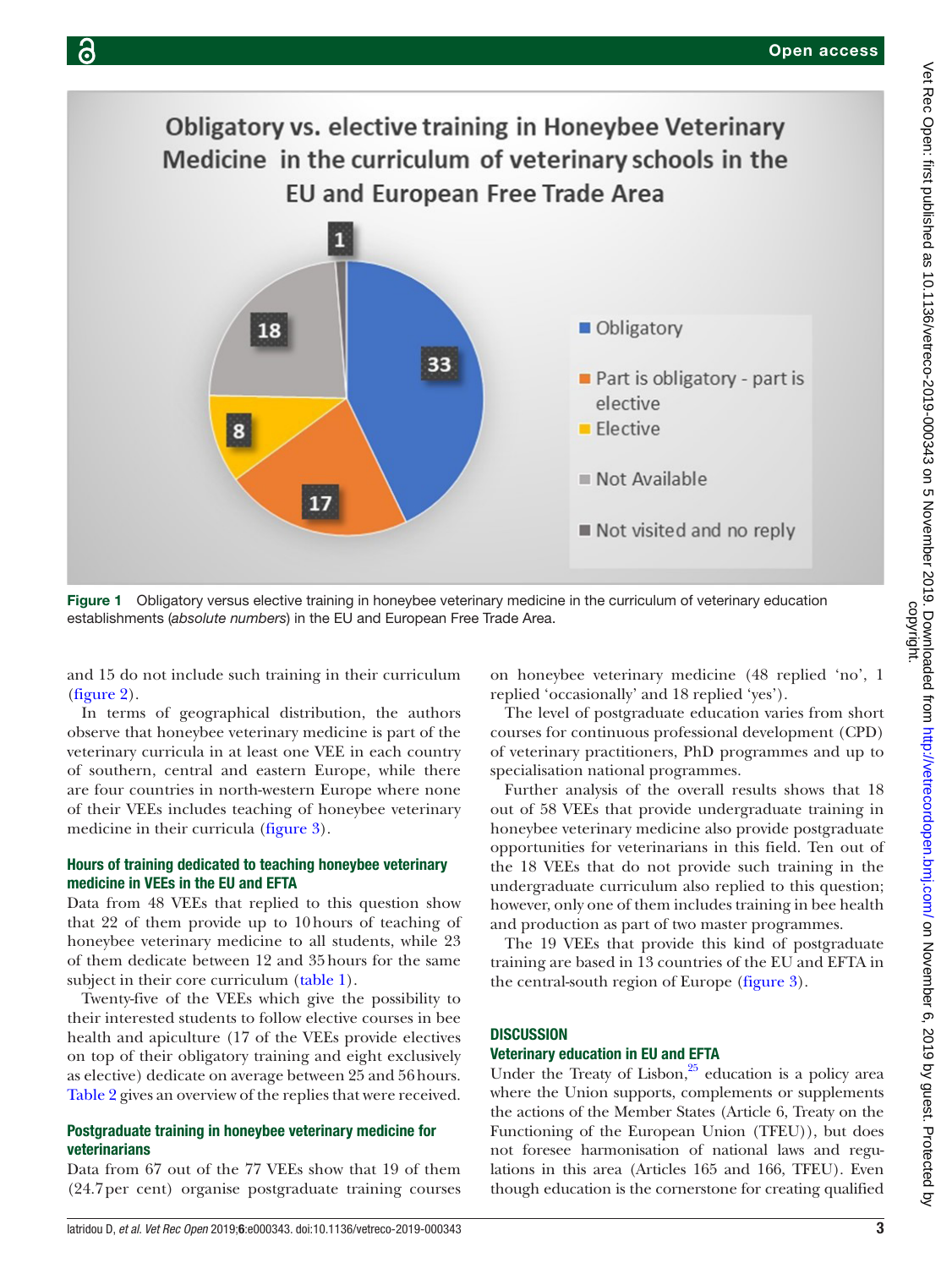

<span id="page-2-0"></span>Figure 1 Obligatory versus elective training in honeybee veterinary medicine in the curriculum of veterinary education establishments (*absolute numbers*) in the EU and European Free Trade Area.

and 15 do not include such training in their curriculum [\(figure](#page-3-0) 2).

In terms of geographical distribution, the authors observe that honeybee veterinary medicine is part of the veterinary curricula in at least one VEE in each country of southern, central and eastern Europe, while there are four countries in north-western Europe where none of their VEEs includes teaching of honeybee veterinary medicine in their curricula [\(figure](#page-4-0) 3).

### Hours of training dedicated to teaching honeybee veterinary medicine in VEEs in the EU and EFTA

Data from 48 VEEs that replied to this question show that 22 of them provide up to 10hours of teaching of honeybee veterinary medicine to all students, while 23 of them dedicate between 12 and 35hours for the same subject in their core curriculum ([table](#page-4-1) 1).

Twenty-five of the VEEs which give the possibility to their interested students to follow elective courses in bee health and apiculture (17 of the VEEs provide electives on top of their obligatory training and eight exclusively as elective) dedicate on average between 25 and 56hours. [Table](#page-4-2) 2 gives an overview of the replies that were received.

#### Postgraduate training in honeybee veterinary medicine for veterinarians

Data from 67 out of the 77 VEEs show that 19 of them (24.7per cent) organise postgraduate training courses on honeybee veterinary medicine (48 replied 'no', 1 replied 'occasionally' and 18 replied 'yes').

The level of postgraduate education varies from short courses for continuous professional development (CPD) of veterinary practitioners, PhD programmes and up to specialisation national programmes.

Further analysis of the overall results shows that 18 out of 58 VEEs that provide undergraduate training in honeybee veterinary medicine also provide postgraduate opportunities for veterinarians in this field. Ten out of the 18 VEEs that do not provide such training in the undergraduate curriculum also replied to this question; however, only one of them includes training in bee health and production as part of two master programmes.

The 19 VEEs that provide this kind of postgraduate training are based in 13 countries of the EU and EFTA in the central-south region of Europe [\(figure](#page-4-0) 3).

#### **DISCUSSION**

#### Veterinary education in EU and EFTA

Under the Treaty of Lisbon, $25$  education is a policy area where the Union supports, complements or supplements the actions of the Member States (Article 6, Treaty on the Functioning of the European Union (TFEU)), but does not foresee harmonisation of national laws and regulations in this area (Articles 165 and 166, TFEU). Even though education is the cornerstone for creating qualified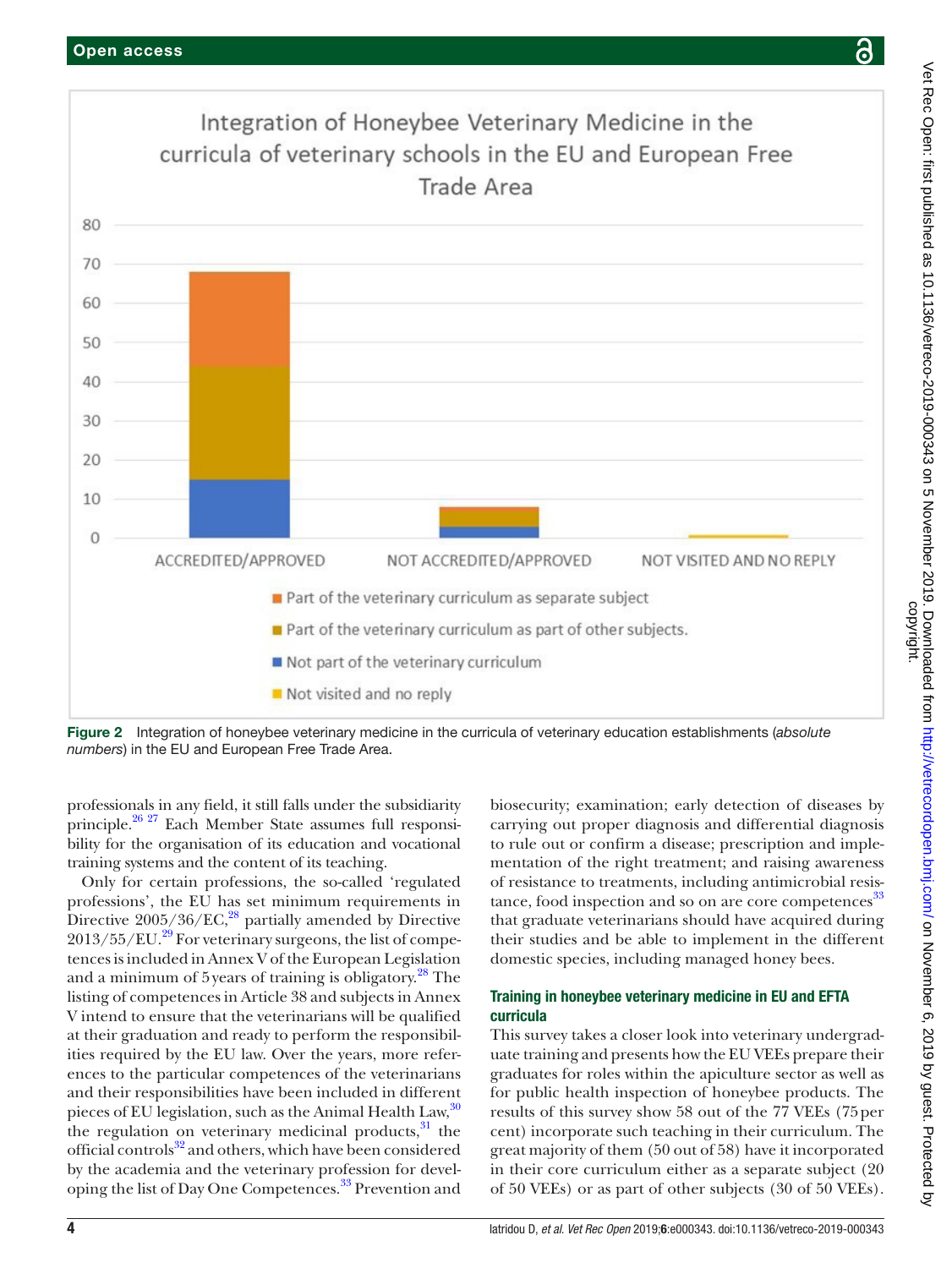

<span id="page-3-0"></span>Figure 2 Integration of honeybee veterinary medicine in the curricula of veterinary education establishments (*absolute numbers*) in the EU and European Free Trade Area.

professionals in any field, it still falls under the subsidiarity principle.[26 27](#page-8-15) Each Member State assumes full responsibility for the organisation of its education and vocational training systems and the content of its teaching.

Only for certain professions, the so-called 'regulated professions', the EU has set minimum requirements in Directive 2005/36/EC,<sup>28</sup> partially amended by Directive  $2013/55/EU.<sup>29</sup>$  For veterinary surgeons, the list of competences is included in Annex V of the European Legislation and a minimum of 5 years of training is obligatory.<sup>[28](#page-8-16)</sup> The listing of competences in Article 38 and subjects in Annex V intend to ensure that the veterinarians will be qualified at their graduation and ready to perform the responsibilities required by the EU law. Over the years, more references to the particular competences of the veterinarians and their responsibilities have been included in different pieces of EU legislation, such as the Animal Health Law,  $30$ the regulation on veterinary medicinal products, $31$  the official controls<sup>32</sup> and others, which have been considered by the academia and the veterinary profession for developing the list of Day One Competences.<sup>33</sup> Prevention and

biosecurity; examination; early detection of diseases by carrying out proper diagnosis and differential diagnosis to rule out or confirm a disease; prescription and implementation of the right treatment; and raising awareness of resistance to treatments, including antimicrobial resis-tance, food inspection and so on are core competences<sup>[33](#page-8-21)</sup> that graduate veterinarians should have acquired during their studies and be able to implement in the different domestic species, including managed honey bees.

#### Training in honeybee veterinary medicine in EU and EFTA curricula

This survey takes a closer look into veterinary undergraduate training and presents how the EU VEEs prepare their graduates for roles within the apiculture sector as well as for public health inspection of honeybee products. The results of this survey show 58 out of the 77 VEEs (75per cent) incorporate such teaching in their curriculum. The great majority of them (50 out of 58) have it incorporated in their core curriculum either as a separate subject (20 of 50 VEEs) or as part of other subjects (30 of 50 VEEs).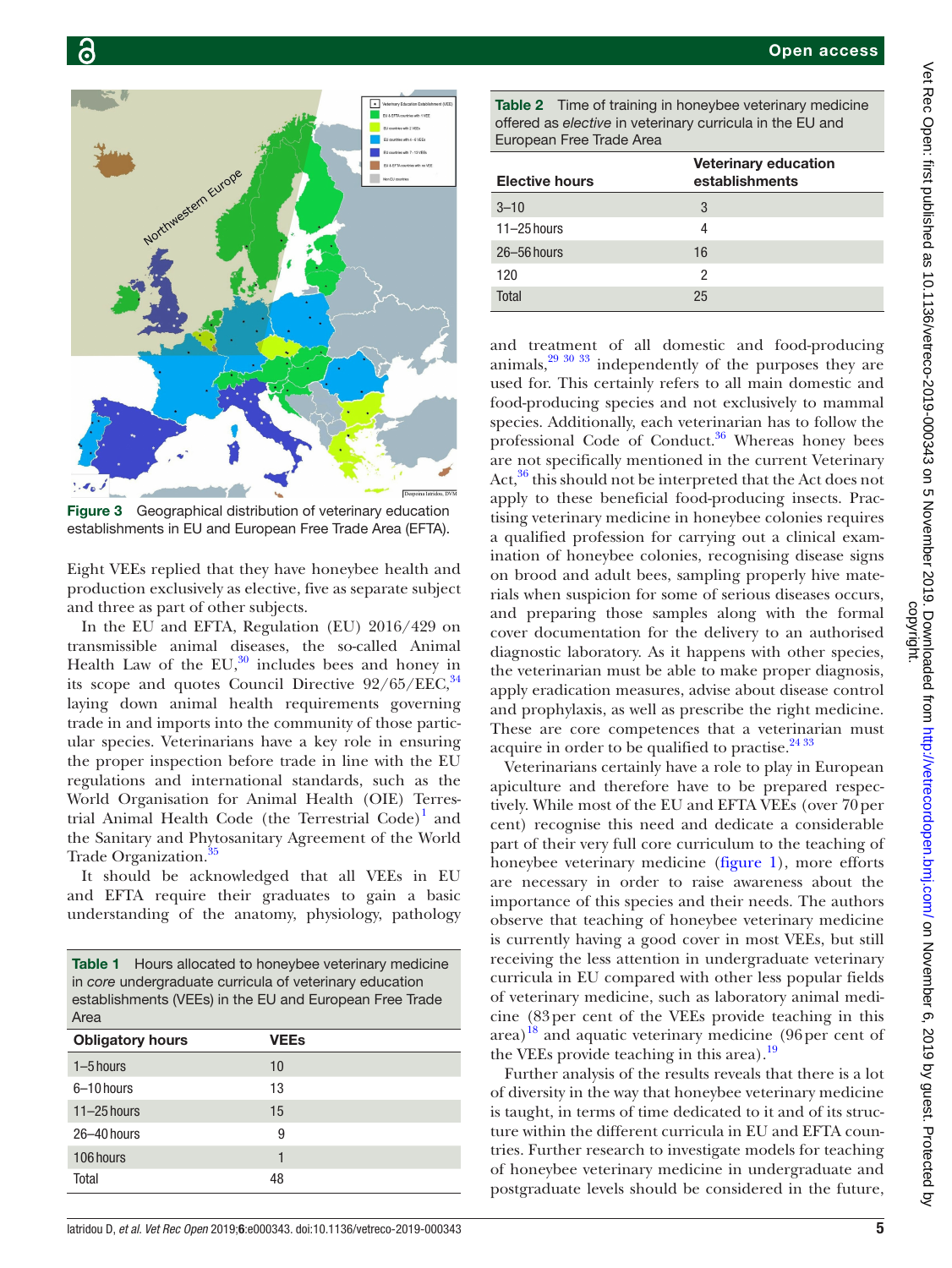

<span id="page-4-0"></span>Figure 3 Geographical distribution of veterinary education establishments in EU and European Free Trade Area (EFTA).

Eight VEEs replied that they have honeybee health and production exclusively as elective, five as separate subject and three as part of other subjects.

In the EU and EFTA, Regulation (EU) 2016/429 on transmissible animal diseases, the so-called Animal Health Law of the  $EU^{30}$  includes bees and honey in its scope and quotes Council Directive  $92/65/EEC$ ,  $34$ laying down animal health requirements governing trade in and imports into the community of those particular species. Veterinarians have a key role in ensuring the proper inspection before trade in line with the EU regulations and international standards, such as the World Organisation for Animal Health (OIE) Terres-trial Animal Health Code (the Terrestrial Code)<sup>[1](#page-7-0)</sup> and the Sanitary and Phytosanitary Agreement of the World Trade Organization.<sup>35</sup>

It should be acknowledged that all VEEs in EU and EFTA require their graduates to gain a basic understanding of the anatomy, physiology, pathology

<span id="page-4-1"></span>

| <b>Obligatory hours</b> | <b>VEEs</b> |
|-------------------------|-------------|
| $1-5$ hours             | 10          |
| 6-10 hours              | 13          |
| $11 - 25$ hours         | 15          |
| 26-40 hours             | 9           |
| 106 hours               | 1           |
| Total                   | 48          |

<span id="page-4-2"></span>Table 2 Time of training in honeybee veterinary medicine offered as *elective* in veterinary curricula in the EU and European Free Trade Area

| <b>Elective hours</b> | <b>Veterinary education</b><br>establishments |
|-----------------------|-----------------------------------------------|
| $3 - 10$              | 3                                             |
| $11-25$ hours         | 4                                             |
| $26 - 56$ hours       | 16                                            |
| 120                   | 2                                             |
| Total                 | 25                                            |

and treatment of all domestic and food-producing animals,[29 30 33](#page-8-17) independently of the purposes they are used for. This certainly refers to all main domestic and food-producing species and not exclusively to mammal species. Additionally, each veterinarian has to follow the professional Code of Conduct.<sup>[36](#page-8-24)</sup> Whereas honey bees are not specifically mentioned in the current Veterinary Act,<sup>36</sup> this should not be interpreted that the Act does not apply to these beneficial food-producing insects. Practising veterinary medicine in honeybee colonies requires a qualified profession for carrying out a clinical examination of honeybee colonies, recognising disease signs on brood and adult bees, sampling properly hive materials when suspicion for some of serious diseases occurs, and preparing those samples along with the formal cover documentation for the delivery to an authorised diagnostic laboratory. As it happens with other species, the veterinarian must be able to make proper diagnosis, apply eradication measures, advise about disease control and prophylaxis, as well as prescribe the right medicine. These are core competences that a veterinarian must acquire in order to be qualified to practise. $2433$ 

Veterinarians certainly have a role to play in European apiculture and therefore have to be prepared respectively. While most of the EU and EFTA VEEs (over 70per cent) recognise this need and dedicate a considerable part of their very full core curriculum to the teaching of honeybee veterinary medicine ([figure](#page-2-0) 1), more efforts are necessary in order to raise awareness about the importance of this species and their needs. The authors observe that teaching of honeybee veterinary medicine is currently having a good cover in most VEEs, but still receiving the less attention in undergraduate veterinary curricula in EU compared with other less popular fields of veterinary medicine, such as laboratory animal medicine (83per cent of the VEEs provide teaching in this area)<sup>18</sup> and aquatic veterinary medicine (96 per cent of the VEEs provide teaching in this area).<sup>[19](#page-8-8)</sup>

Further analysis of the results reveals that there is a lot of diversity in the way that honeybee veterinary medicine is taught, in terms of time dedicated to it and of its structure within the different curricula in EU and EFTA countries. Further research to investigate models for teaching of honeybee veterinary medicine in undergraduate and postgraduate levels should be considered in the future,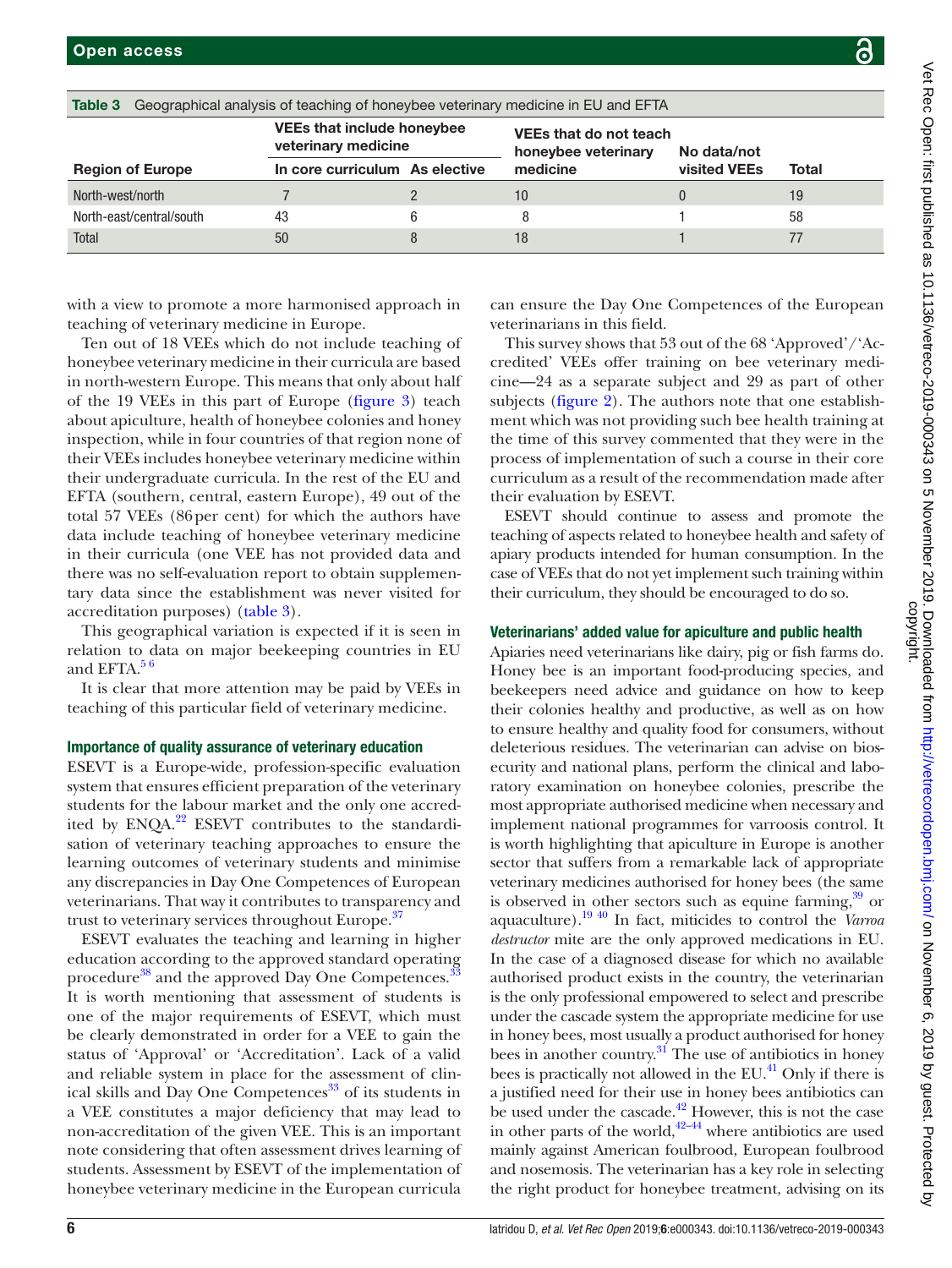| こし こうこう アンス ソン ユコ ユユロワごく              |
|---------------------------------------|
|                                       |
|                                       |
|                                       |
|                                       |
|                                       |
|                                       |
|                                       |
|                                       |
|                                       |
|                                       |
|                                       |
|                                       |
|                                       |
|                                       |
|                                       |
|                                       |
|                                       |
|                                       |
|                                       |
|                                       |
|                                       |
|                                       |
|                                       |
|                                       |
|                                       |
|                                       |
|                                       |
|                                       |
|                                       |
|                                       |
|                                       |
|                                       |
|                                       |
|                                       |
|                                       |
|                                       |
|                                       |
|                                       |
|                                       |
|                                       |
|                                       |
|                                       |
|                                       |
|                                       |
|                                       |
|                                       |
|                                       |
|                                       |
|                                       |
|                                       |
|                                       |
| induit city and the city of the total |
|                                       |
|                                       |
|                                       |
|                                       |
|                                       |
|                                       |

<span id="page-5-0"></span>

| Geographical analysis of teaching of honeybee veterinary medicine in EU and EFTA<br>Table 3 |                                                          |  |                                                      |              |       |  |  |
|---------------------------------------------------------------------------------------------|----------------------------------------------------------|--|------------------------------------------------------|--------------|-------|--|--|
|                                                                                             | <b>VEEs that include honeybee</b><br>veterinary medicine |  | <b>VEEs that do not teach</b><br>honeybee veterinary | No data/not  |       |  |  |
| <b>Region of Europe</b>                                                                     | In core curriculum As elective                           |  | medicine                                             | visited VEEs | Total |  |  |
| North-west/north                                                                            |                                                          |  | 10                                                   |              | 19    |  |  |
| North-east/central/south                                                                    | 43                                                       |  | 8                                                    |              | 58    |  |  |
| Total                                                                                       | 50                                                       |  | 18                                                   |              |       |  |  |

with a view to promote a more harmonised approach in teaching of veterinary medicine in Europe.

Ten out of 18 VEEs which do not include teaching of honeybee veterinary medicine in their curricula are based in north-western Europe. This means that only about half of the 19 VEEs in this part of Europe [\(figure](#page-4-0) 3) teach about apiculture, health of honeybee colonies and honey inspection, while in four countries of that region none of their VEEs includes honeybee veterinary medicine within their undergraduate curricula. In the rest of the EU and EFTA (southern, central, eastern Europe), 49 out of the total 57 VEEs (86per cent) for which the authors have data include teaching of honeybee veterinary medicine in their curricula (one VEE has not provided data and there was no self-evaluation report to obtain supplementary data since the establishment was never visited for accreditation purposes) [\(table](#page-5-0) 3).

This geographical variation is expected if it is seen in relation to data on major beekeeping countries in EU and EFTA. $56$ 

It is clear that more attention may be paid by VEEs in teaching of this particular field of veterinary medicine.

#### Importance of quality assurance of veterinary education

ESEVT is a Europe-wide, profession-specific evaluation system that ensures efficient preparation of the veterinary students for the labour market and the only one accredited by  $ENQA<sup>22</sup> ESEVT$  contributes to the standardisation of veterinary teaching approaches to ensure the learning outcomes of veterinary students and minimise any discrepancies in Day One Competences of European veterinarians. That way it contributes to transparency and trust to veterinary services throughout Europe.<sup>37</sup>

ESEVT evaluates the teaching and learning in higher education according to the approved standard operating procedure<sup>[38](#page-8-26)</sup> and the approved Day One Competences.<sup>[33](#page-8-21)</sup> It is worth mentioning that assessment of students is one of the major requirements of ESEVT, which must be clearly demonstrated in order for a VEE to gain the status of 'Approval' or 'Accreditation'. Lack of a valid and reliable system in place for the assessment of clinical skills and Day One Competences<sup>33</sup> of its students in a VEE constitutes a major deficiency that may lead to non-accreditation of the given VEE. This is an important note considering that often assessment drives learning of students. Assessment by ESEVT of the implementation of honeybee veterinary medicine in the European curricula can ensure the Day One Competences of the European veterinarians in this field.

This survey shows that 53 out of the 68 'Approved'/'Accredited' VEEs offer training on bee veterinary medicine—24 as a separate subject and 29 as part of other subjects [\(figure](#page-3-0) 2). The authors note that one establishment which was not providing such bee health training at the time of this survey commented that they were in the process of implementation of such a course in their core curriculum as a result of the recommendation made after their evaluation by ESEVT.

ESEVT should continue to assess and promote the teaching of aspects related to honeybee health and safety of apiary products intended for human consumption. In the case of VEEs that do not yet implement such training within their curriculum, they should be encouraged to do so.

#### Veterinarians' added value for apiculture and public health

Apiaries need veterinarians like dairy, pig or fish farms do. Honey bee is an important food-producing species, and beekeepers need advice and guidance on how to keep their colonies healthy and productive, as well as on how to ensure healthy and quality food for consumers, without deleterious residues. The veterinarian can advise on biosecurity and national plans, perform the clinical and laboratory examination on honeybee colonies, prescribe the most appropriate authorised medicine when necessary and implement national programmes for varroosis control. It is worth highlighting that apiculture in Europe is another sector that suffers from a remarkable lack of appropriate veterinary medicines authorised for honey bees (the same is observed in other sectors such as equine farming, $39$  or aquaculture)[.19 40](#page-8-8) In fact, miticides to control the *Varroa destructor* mite are the only approved medications in EU. In the case of a diagnosed disease for which no available authorised product exists in the country, the veterinarian is the only professional empowered to select and prescribe under the cascade system the appropriate medicine for use in honey bees, most usually a product authorised for honey bees in another country.<sup>31</sup> The use of antibiotics in honey bees is practically not allowed in the  $EU^{41}$  $EU^{41}$  $EU^{41}$ . Only if there is a justified need for their use in honey bees antibiotics can be used under the cascade.<sup>42</sup> However, this is not the case in other parts of the world, $42-44$  where antibiotics are used mainly against American foulbrood, European foulbrood and nosemosis. The veterinarian has a key role in selecting the right product for honeybee treatment, advising on its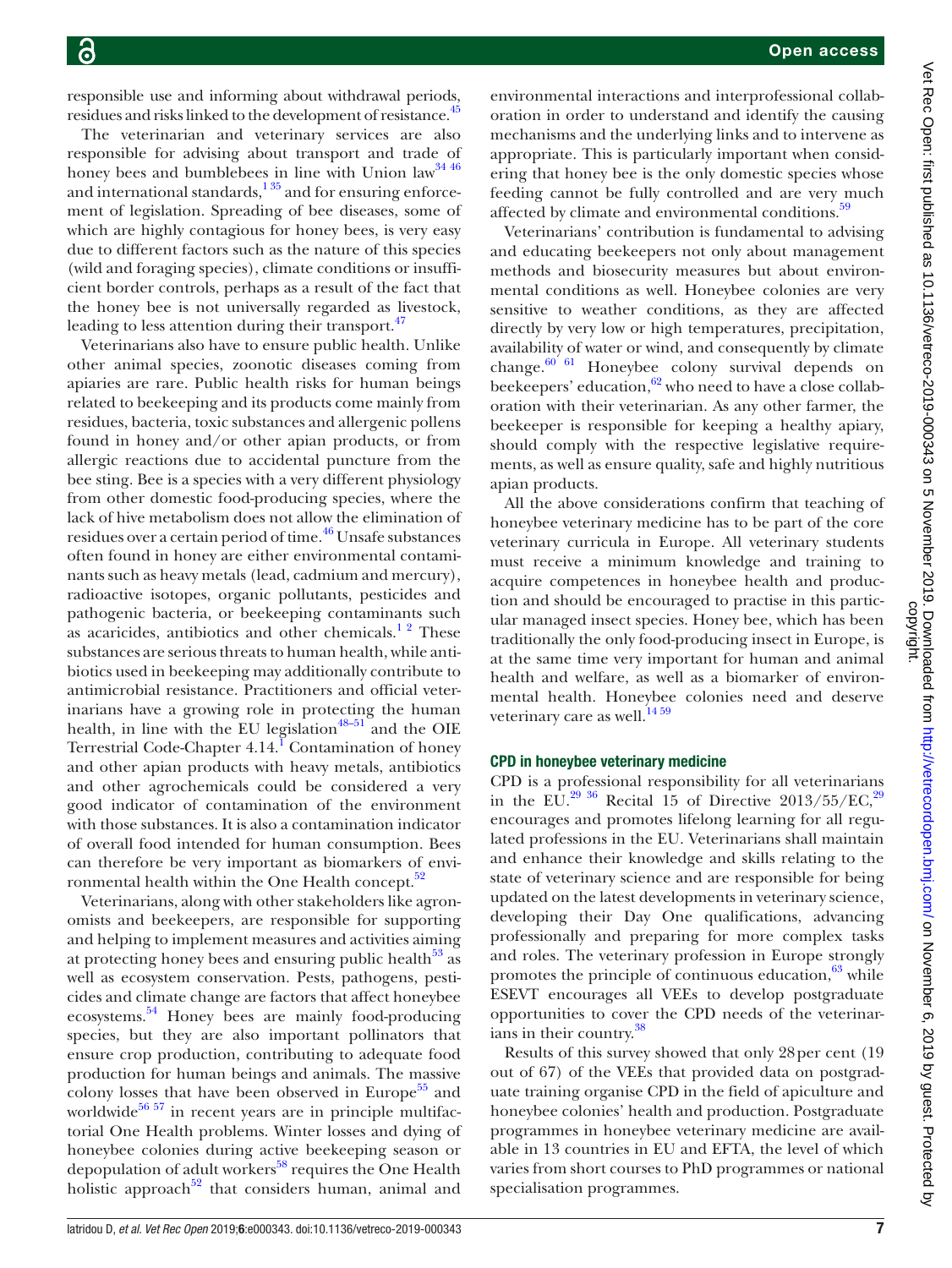responsible use and informing about withdrawal periods, residues and risks linked to the development of resistance.<sup>[45](#page-8-30)</sup>

The veterinarian and veterinary services are also responsible for advising about transport and trade of honey bees and bumblebees in line with Union  $law<sup>34-46</sup>$ and international standards, $135$  and for ensuring enforcement of legislation. Spreading of bee diseases, some of which are highly contagious for honey bees, is very easy due to different factors such as the nature of this species (wild and foraging species), climate conditions or insufficient border controls, perhaps as a result of the fact that the honey bee is not universally regarded as livestock, leading to less attention during their transport. $47$ 

Veterinarians also have to ensure public health. Unlike other animal species, zoonotic diseases coming from apiaries are rare. Public health risks for human beings related to beekeeping and its products come mainly from residues, bacteria, toxic substances and allergenic pollens found in honey and/or other apian products, or from allergic reactions due to accidental puncture from the bee sting. Bee is a species with a very different physiology from other domestic food-producing species, where the lack of hive metabolism does not allow the elimination of residues over a certain period of time.<sup>46</sup> Unsafe substances often found in honey are either environmental contaminants such as heavy metals (lead, cadmium and mercury), radioactive isotopes, organic pollutants, pesticides and pathogenic bacteria, or beekeeping contaminants such as acaricides, antibiotics and other chemicals.<sup>12</sup> These substances are serious threats to human health, while antibiotics used in beekeeping may additionally contribute to antimicrobial resistance. Practitioners and official veterinarians have a growing role in protecting the human health, in line with the EU legislation $48-51$  and the OIE Terrestrial Code-Chapter 4.[1](#page-7-0)4.<sup>I</sup> Contamination of honey and other apian products with heavy metals, antibiotics and other agrochemicals could be considered a very good indicator of contamination of the environment with those substances. It is also a contamination indicator of overall food intended for human consumption. Bees can therefore be very important as biomarkers of environmental health within the One Health concept.<sup>32</sup>

Veterinarians, along with other stakeholders like agronomists and beekeepers, are responsible for supporting and helping to implement measures and activities aiming at protecting honey bees and ensuring public health $^{53}$  $^{53}$  $^{53}$  as well as ecosystem conservation. Pests, pathogens, pesticides and climate change are factors that affect honeybee ecosystems.<sup>[54](#page-9-4)</sup> Honey bees are mainly food-producing species, but they are also important pollinators that ensure crop production, contributing to adequate food production for human beings and animals. The massive colony losses that have been observed in Europe $55$  and worldwide $56 57$  in recent years are in principle multifactorial One Health problems. Winter losses and dying of honeybee colonies during active beekeeping season or depopulation of adult workers<sup>58</sup> requires the One Health holistic approach<sup>[52](#page-9-2)</sup> that considers human, animal and

environmental interactions and interprofessional collaboration in order to understand and identify the causing mechanisms and the underlying links and to intervene as appropriate. This is particularly important when considering that honey bee is the only domestic species whose feeding cannot be fully controlled and are very much affected by climate and environmental conditions.<sup>59</sup>

Veterinarians' contribution is fundamental to advising and educating beekeepers not only about management methods and biosecurity measures but about environmental conditions as well. Honeybee colonies are very sensitive to weather conditions, as they are affected directly by very low or high temperatures, precipitation, availability of water or wind, and consequently by climate change.<sup>60 61</sup> Honeybee colony survival depends on beekeepers' education, $62$  who need to have a close collaboration with their veterinarian. As any other farmer, the beekeeper is responsible for keeping a healthy apiary, should comply with the respective legislative requirements, as well as ensure quality, safe and highly nutritious apian products.

All the above considerations confirm that teaching of honeybee veterinary medicine has to be part of the core veterinary curricula in Europe. All veterinary students must receive a minimum knowledge and training to acquire competences in honeybee health and production and should be encouraged to practise in this particular managed insect species. Honey bee, which has been traditionally the only food-producing insect in Europe, is at the same time very important for human and animal health and welfare, as well as a biomarker of environmental health. Honeybee colonies need and deserve veterinary care as well. $^{14\,59}$ 

#### CPD in honeybee veterinary medicine

CPD is a professional responsibility for all veterinarians in the EU.<sup>[29 36](#page-8-17)</sup> Recital 15 of Directive 2013/55/EC,<sup>29</sup> encourages and promotes lifelong learning for all regulated professions in the EU. Veterinarians shall maintain and enhance their knowledge and skills relating to the state of veterinary science and are responsible for being updated on the latest developments in veterinary science, developing their Day One qualifications, advancing professionally and preparing for more complex tasks and roles. The veterinary profession in Europe strongly promotes the principle of continuous education,<sup>[63](#page-9-11)</sup> while ESEVT encourages all VEEs to develop postgraduate opportunities to cover the CPD needs of the veterinarians in their country.<sup>38</sup>

Results of this survey showed that only 28 per cent (19 out of 67) of the VEEs that provided data on postgraduate training organise CPD in the field of apiculture and honeybee colonies' health and production. Postgraduate programmes in honeybee veterinary medicine are available in 13 countries in EU and EFTA, the level of which varies from short courses to PhD programmes or national specialisation programmes.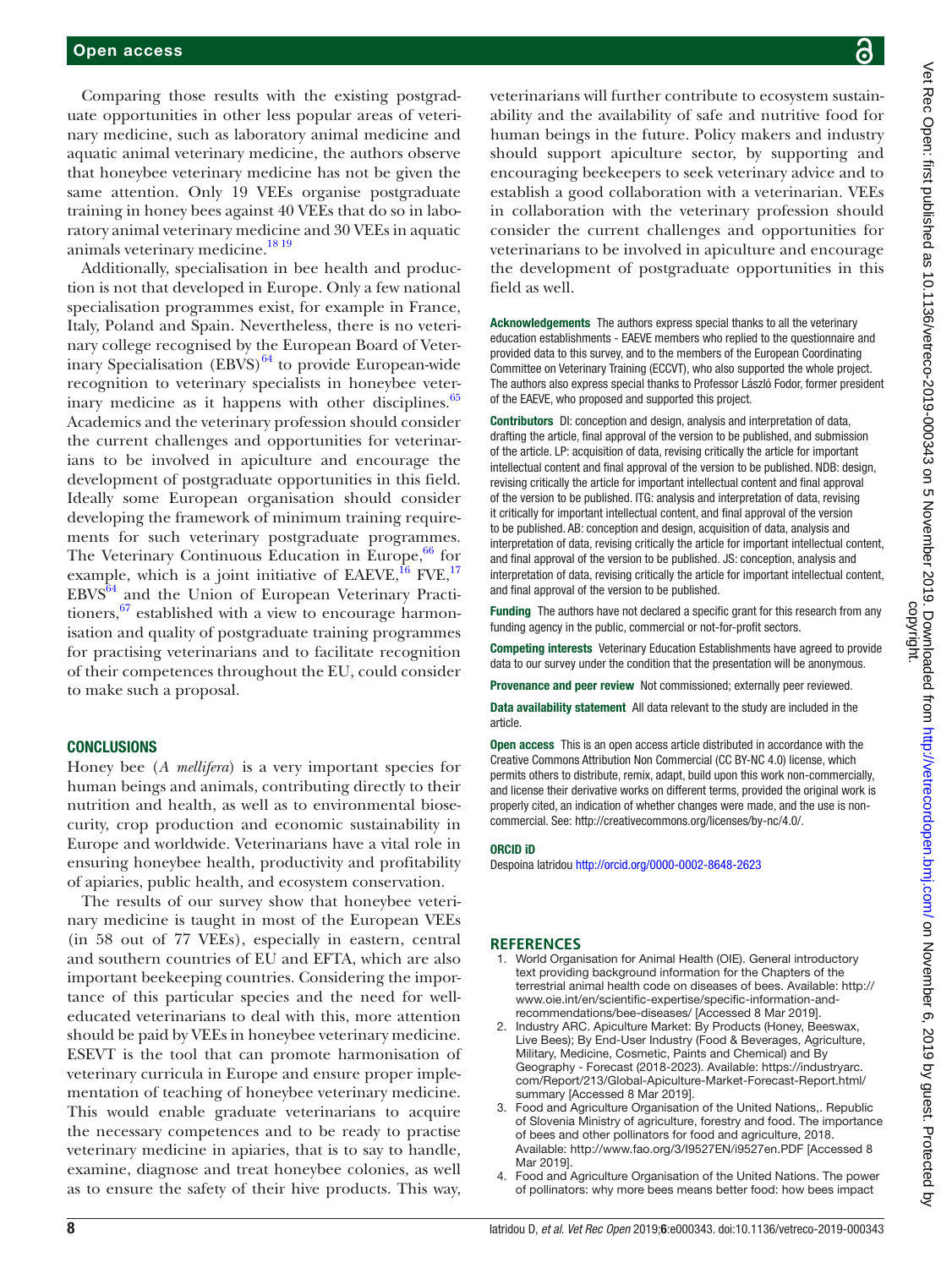Comparing those results with the existing postgraduate opportunities in other less popular areas of veterinary medicine, such as laboratory animal medicine and aquatic animal veterinary medicine, the authors observe that honeybee veterinary medicine has not be given the same attention. Only 19 VEEs organise postgraduate training in honey bees against 40 VEEs that do so in laboratory animal veterinary medicine and 30 VEEs in aquatic animals veterinary medicine.<sup>18 19</sup>

Additionally, specialisation in bee health and production is not that developed in Europe. Only a few national specialisation programmes exist, for example in France, Italy, Poland and Spain. Nevertheless, there is no veterinary college recognised by the European Board of Veterinary Specialisation  $(EBVS)^{64}$  to provide European-wide recognition to veterinary specialists in honeybee veter-inary medicine as it happens with other disciplines.<sup>[65](#page-9-13)</sup> Academics and the veterinary profession should consider the current challenges and opportunities for veterinarians to be involved in apiculture and encourage the development of postgraduate opportunities in this field. Ideally some European organisation should consider developing the framework of minimum training requirements for such veterinary postgraduate programmes. The Veterinary Continuous Education in Europe,  $66$  for example, which is a joint initiative of EAEVE, $^{16}$  FVE, $^{17}$  $^{17}$  $^{17}$ EBVS[64](#page-9-12) and the Union of European Veterinary Practitioners,  $67$  established with a view to encourage harmonisation and quality of postgraduate training programmes for practising veterinarians and to facilitate recognition of their competences throughout the EU, could consider to make such a proposal.

#### **CONCLUSIONS**

Honey bee (*A mellifera*) is a very important species for human beings and animals, contributing directly to their nutrition and health, as well as to environmental biosecurity, crop production and economic sustainability in Europe and worldwide. Veterinarians have a vital role in ensuring honeybee health, productivity and profitability of apiaries, public health, and ecosystem conservation.

The results of our survey show that honeybee veterinary medicine is taught in most of the European VEEs (in 58 out of 77 VEEs), especially in eastern, central and southern countries of EU and EFTA, which are also important beekeeping countries. Considering the importance of this particular species and the need for welleducated veterinarians to deal with this, more attention should be paid by VEEs in honeybee veterinary medicine. ESEVT is the tool that can promote harmonisation of veterinary curricula in Europe and ensure proper implementation of teaching of honeybee veterinary medicine. This would enable graduate veterinarians to acquire the necessary competences and to be ready to practise veterinary medicine in apiaries, that is to say to handle, examine, diagnose and treat honeybee colonies, as well as to ensure the safety of their hive products. This way,

veterinarians will further contribute to ecosystem sustainability and the availability of safe and nutritive food for human beings in the future. Policy makers and industry should support apiculture sector, by supporting and encouraging beekeepers to seek veterinary advice and to establish a good collaboration with a veterinarian. VEEs in collaboration with the veterinary profession should consider the current challenges and opportunities for veterinarians to be involved in apiculture and encourage the development of postgraduate opportunities in this field as well.

Acknowledgements The authors express special thanks to all the veterinary education establishments - EAEVE members who replied to the questionnaire and provided data to this survey, and to the members of the European Coordinating Committee on Veterinary Training (ECCVT), who also supported the whole project. The authors also express special thanks to Professor László Fodor, former president of the EAEVE, who proposed and supported this project.

Contributors DI: conception and design, analysis and interpretation of data, drafting the article, final approval of the version to be published, and submission of the article. LP: acquisition of data, revising critically the article for important intellectual content and final approval of the version to be published. NDB: design, revising critically the article for important intellectual content and final approval of the version to be published. ITG: analysis and interpretation of data, revising it critically for important intellectual content, and final approval of the version to be published. AB: conception and design, acquisition of data, analysis and interpretation of data, revising critically the article for important intellectual content, and final approval of the version to be published. JS: conception, analysis and interpretation of data, revising critically the article for important intellectual content, and final approval of the version to be published.

Funding The authors have not declared a specific grant for this research from any funding agency in the public, commercial or not-for-profit sectors.

Competing interests Veterinary Education Establishments have agreed to provide data to our survey under the condition that the presentation will be anonymous.

Provenance and peer review Not commissioned; externally peer reviewed.

Data availability statement All data relevant to the study are included in the article.

Open access This is an open access article distributed in accordance with the Creative Commons Attribution Non Commercial (CC BY-NC 4.0) license, which permits others to distribute, remix, adapt, build upon this work non-commercially, and license their derivative works on different terms, provided the original work is properly cited, an indication of whether changes were made, and the use is noncommercial. See: <http://creativecommons.org/licenses/by-nc/4.0/>.

#### ORCID iD

Despoina Iatridou<http://orcid.org/0000-0002-8648-2623>

#### **References**

- <span id="page-7-0"></span>1. World Organisation for Animal Health (OIE). General introductory text providing background information for the Chapters of the terrestrial animal health code on diseases of bees. Available: [http://](http://www.oie.int/en/scientific-expertise/specific-information-and-recommendations/bee-diseases/) [www.oie.int/en/scientific-expertise/specific-information-and](http://www.oie.int/en/scientific-expertise/specific-information-and-recommendations/bee-diseases/)[recommendations/bee-diseases/](http://www.oie.int/en/scientific-expertise/specific-information-and-recommendations/bee-diseases/) [Accessed 8 Mar 2019].
- 2. Industry ARC. Apiculture Market: By Products (Honey, Beeswax, Live Bees); By End-User Industry (Food & Beverages, Agriculture, Military, Medicine, Cosmetic, Paints and Chemical) and By Geography - Forecast (2018-2023). Available: [https://industryarc.](https://industryarc.com/Report/213/Global-Apiculture-Market-Forecast-Report.html/summary) [com/Report/213/Global-Apiculture-Market-Forecast-Report.html/](https://industryarc.com/Report/213/Global-Apiculture-Market-Forecast-Report.html/summary) [summary](https://industryarc.com/Report/213/Global-Apiculture-Market-Forecast-Report.html/summary) [Accessed 8 Mar 2019].
- <span id="page-7-1"></span>3. Food and Agriculture Organisation of the United Nations,. Republic of Slovenia Ministry of agriculture, forestry and food. The importance of bees and other pollinators for food and agriculture, 2018. Available: <http://www.fao.org/3/I9527EN/i9527en.PDF>[Accessed 8 Mar 2019].
- 4. Food and Agriculture Organisation of the United Nations. The power of pollinators: why more bees means better food: how bees impact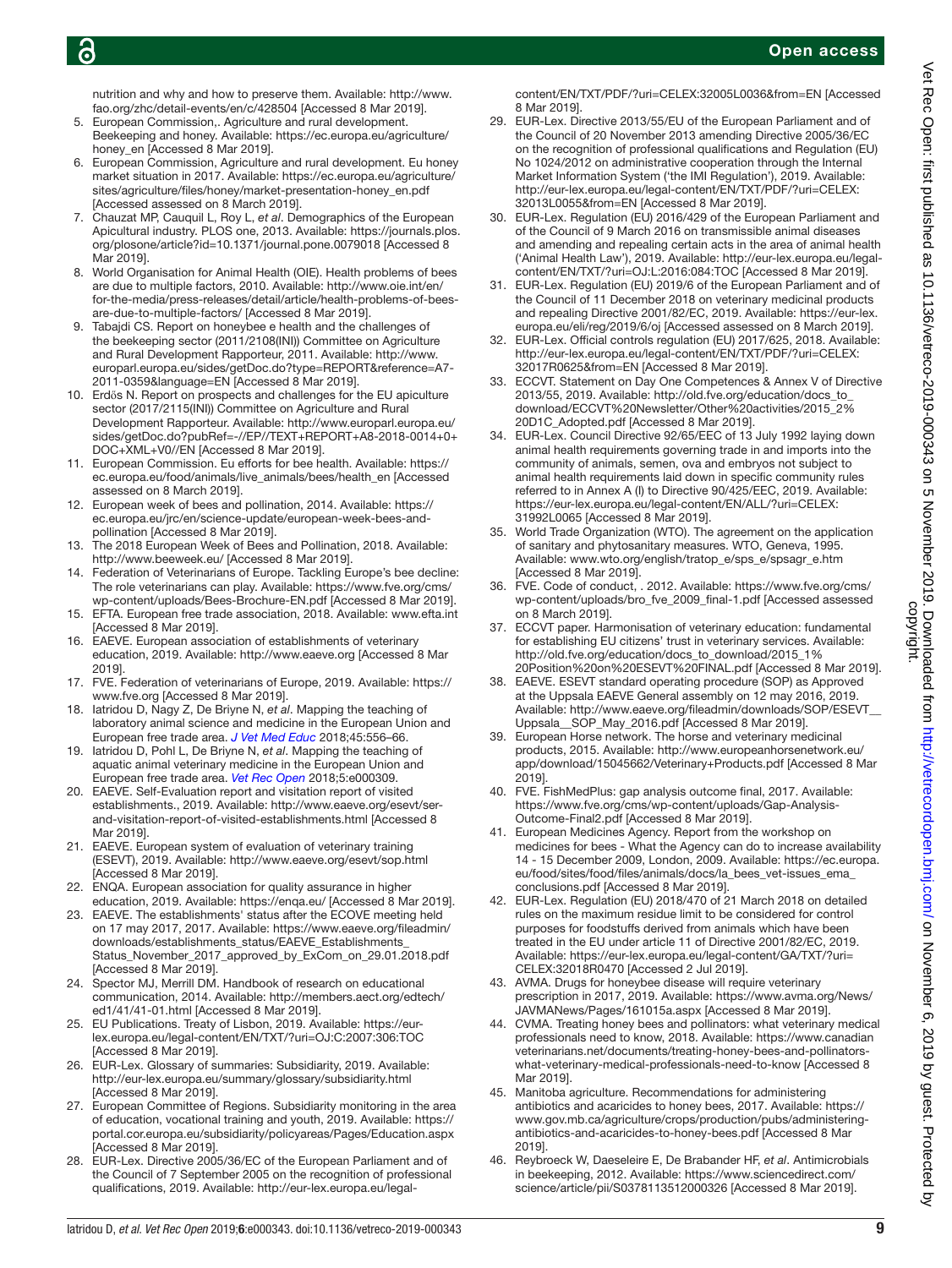nutrition and why and how to preserve them. Available: [http://www.](http://www.fao.org/zhc/detail-events/en/c/428504) [fao.org/zhc/detail-events/en/c/428504](http://www.fao.org/zhc/detail-events/en/c/428504) [Accessed 8 Mar 2019].

- <span id="page-8-0"></span>5. European Commission,. Agriculture and rural development. Beekeeping and honey. Available: [https://ec.europa.eu/agriculture/](https://ec.europa.eu/agriculture/honey_en) [honey\\_en](https://ec.europa.eu/agriculture/honey_en) [Accessed 8 Mar 2019].
- 6. European Commission, Agriculture and rural development. Eu honey market situation in 2017. Available: [https://ec.europa.eu/agriculture/](https://ec.europa.eu/agriculture/sites/agriculture/files/honey/market-presentation-honey_en.pdf) [sites/agriculture/files/honey/market-presentation-honey\\_en.pdf](https://ec.europa.eu/agriculture/sites/agriculture/files/honey/market-presentation-honey_en.pdf)  [Accessed assessed on 8 March 2019].
- 7. Chauzat MP, Cauquil L, Roy L, *et al*. Demographics of the European Apicultural industry. PLOS one, 2013. Available: [https://journals.plos.](https://journals.plos.org/plosone/article?id=10.1371/journal.pone.0079018) [org/plosone/article?id=10.1371/journal.pone.0079018](https://journals.plos.org/plosone/article?id=10.1371/journal.pone.0079018) [Accessed 8 Mar 2019].
- <span id="page-8-1"></span>8. World Organisation for Animal Health (OIE). Health problems of bees are due to multiple factors, 2010. Available: [http://www.oie.int/en/](http://www.oie.int/en/for-the-media/press-releases/detail/article/health-problems-of-bees-are-due-to-multiple-factors/) [for-the-media/press-releases/detail/article/health-problems-of-bees](http://www.oie.int/en/for-the-media/press-releases/detail/article/health-problems-of-bees-are-due-to-multiple-factors/)[are-due-to-multiple-factors/](http://www.oie.int/en/for-the-media/press-releases/detail/article/health-problems-of-bees-are-due-to-multiple-factors/) [Accessed 8 Mar 2019].
- 9. Tabajdi CS. Report on honeybee e health and the challenges of the beekeeping sector (2011/2108(INI)) Committee on Agriculture and Rural Development Rapporteur, 2011. Available: [http://www.](http://www.europarl.europa.eu/sides/getDoc.do?type=REPORT&reference=A7-2011-0359&language=EN) [europarl.europa.eu/sides/getDoc.do?type=REPORT&reference=A7-](http://www.europarl.europa.eu/sides/getDoc.do?type=REPORT&reference=A7-2011-0359&language=EN) [2011-0359&language=EN](http://www.europarl.europa.eu/sides/getDoc.do?type=REPORT&reference=A7-2011-0359&language=EN) [Accessed 8 Mar 2019].
- <span id="page-8-2"></span>10. Erdős N. Report on prospects and challenges for the EU apiculture sector (2017/2115(INI)) Committee on Agriculture and Rural Development Rapporteur. Available: [http://www.europarl.europa.eu/](http://www.europarl.europa.eu/sides/getDoc.do?pubRef=-//EP//TEXT+REPORT+A8-2018-0014+0+DOC+XML+V0//EN) [sides/getDoc.do?pubRef=-//EP//TEXT+REPORT+A8-2018-0014+0+](http://www.europarl.europa.eu/sides/getDoc.do?pubRef=-//EP//TEXT+REPORT+A8-2018-0014+0+DOC+XML+V0//EN) [DOC+XML+V0//EN](http://www.europarl.europa.eu/sides/getDoc.do?pubRef=-//EP//TEXT+REPORT+A8-2018-0014+0+DOC+XML+V0//EN) [Accessed 8 Mar 2019].
- 11. European Commission. Eu efforts for bee health. Available: [https://](https://ec.europa.eu/food/animals/live_animals/bees/health_en) [ec.europa.eu/food/animals/live\\_animals/bees/health\\_en](https://ec.europa.eu/food/animals/live_animals/bees/health_en) [Accessed assessed on 8 March 2019].
- 12. European week of bees and pollination, 2014. Available: [https://](https://ec.europa.eu/jrc/en/science-update/european-week-bees-and-pollination) [ec.europa.eu/jrc/en/science-update/european-week-bees-and](https://ec.europa.eu/jrc/en/science-update/european-week-bees-and-pollination)[pollination](https://ec.europa.eu/jrc/en/science-update/european-week-bees-and-pollination) [Accessed 8 Mar 2019].
- 13. The 2018 European Week of Bees and Pollination, 2018. Available: <http://www.beeweek.eu/>[Accessed 8 Mar 2019].
- <span id="page-8-3"></span>14. Federation of Veterinarians of Europe. Tackling Europe's bee decline: The role veterinarians can play. Available: [https://www.fve.org/cms/](https://www.fve.org/cms/wp-content/uploads/Bees-Brochure-EN.pdf) [wp-content/uploads/Bees-Brochure-EN.pdf](https://www.fve.org/cms/wp-content/uploads/Bees-Brochure-EN.pdf) [Accessed 8 Mar 2019].
- <span id="page-8-4"></span>15. EFTA. European free trade association, 2018. Available:<www.efta.int> [Accessed 8 Mar 2019].
- <span id="page-8-5"></span>16. EAEVE. European association of establishments of veterinary education, 2019. Available:<http://www.eaeve.org> [Accessed 8 Mar 2019].
- <span id="page-8-6"></span>17. FVE. Federation of veterinarians of Europe, 2019. Available: [https://](https://www.fve.org) [www.fve.org](https://www.fve.org) [Accessed 8 Mar 2019].
- <span id="page-8-7"></span>18. Iatridou D, Nagy Z, De Briyne N, *et al*. Mapping the teaching of laboratory animal science and medicine in the European Union and European free trade area. *[J Vet Med Educ](http://dx.doi.org/10.3138/jvme.0117-009r1)* 2018;45:556–66.
- <span id="page-8-8"></span>19. Iatridou D, Pohl L, De Briyne N, *et al*. Mapping the teaching of aquatic animal veterinary medicine in the European Union and European free trade area. *[Vet Rec Open](http://dx.doi.org/10.1136/vetreco-2018-000309)* 2018;5:e000309.
- <span id="page-8-9"></span>20. EAEVE. Self-Evaluation report and visitation report of visited establishments., 2019. Available: [http://www.eaeve.org/esevt/ser](http://www.eaeve.org/esevt/ser-and-visitation-report-of-visited-establishments.html)[and-visitation-report-of-visited-establishments.html](http://www.eaeve.org/esevt/ser-and-visitation-report-of-visited-establishments.html) [Accessed 8 Mar 2019].
- <span id="page-8-10"></span>21. EAEVE. European system of evaluation of veterinary training (ESEVT), 2019. Available: <http://www.eaeve.org/esevt/sop.html> [Accessed 8 Mar 2019].
- <span id="page-8-11"></span>22. ENQA. European association for quality assurance in higher education, 2019. Available:<https://enqa.eu/>[Accessed 8 Mar 2019].
- <span id="page-8-12"></span>23. EAEVE. The establishments' status after the ECOVE meeting held on 17 may 2017, 2017. Available: [https://www.eaeve.org/fileadmin/](https://www.eaeve.org/fileadmin/downloads/establishments_status/EAEVE_Establishments_Status_November_2017_approved_by_ExCom_on_29.01.2018.pdf) [downloads/establishments\\_status/EAEVE\\_Establishments\\_](https://www.eaeve.org/fileadmin/downloads/establishments_status/EAEVE_Establishments_Status_November_2017_approved_by_ExCom_on_29.01.2018.pdf) [Status\\_November\\_2017\\_approved\\_by\\_ExCom\\_on\\_29.01.2018.pdf](https://www.eaeve.org/fileadmin/downloads/establishments_status/EAEVE_Establishments_Status_November_2017_approved_by_ExCom_on_29.01.2018.pdf)  [Accessed 8 Mar 2019].
- <span id="page-8-13"></span>24. Spector MJ, Merrill DM. Handbook of research on educational communication, 2014. Available: [http://members.aect.org/edtech/](http://members.aect.org/edtech/ed1/41/41-01.html) [ed1/41/41-01.html](http://members.aect.org/edtech/ed1/41/41-01.html) [Accessed 8 Mar 2019].
- <span id="page-8-14"></span>25. EU Publications. Treaty of Lisbon, 2019. Available: [https://eur](https://eur-lex.europa.eu/legal-content/EN/TXT/?uri=OJ:C:2007:306:TOC)[lex.europa.eu/legal-content/EN/TXT/?uri=OJ:C:2007:306:TOC](https://eur-lex.europa.eu/legal-content/EN/TXT/?uri=OJ:C:2007:306:TOC) [Accessed 8 Mar 2019].
- <span id="page-8-15"></span>26. EUR-Lex. Glossary of summaries: Subsidiarity, 2019. Available: <http://eur-lex.europa.eu/summary/glossary/subsidiarity.html> [Accessed 8 Mar 2019].
- 27. European Committee of Regions. Subsidiarity monitoring in the area of education, vocational training and youth, 2019. Available: [https://](https://portal.cor.europa.eu/subsidiarity/policyareas/Pages/Education.aspx) [portal.cor.europa.eu/subsidiarity/policyareas/Pages/Education.aspx](https://portal.cor.europa.eu/subsidiarity/policyareas/Pages/Education.aspx) [Accessed 8 Mar 2019].
- <span id="page-8-16"></span>28. EUR-Lex. Directive 2005/36/EC of the European Parliament and of the Council of 7 September 2005 on the recognition of professional qualifications, 2019. Available: [http://eur-lex.europa.eu/legal-](http://eur-lex.europa.eu/legal-content/EN/TXT/PDF/?uri=CELEX:32005L0036&from=EN)

[content/EN/TXT/PDF/?uri=CELEX:32005L0036&from=EN](http://eur-lex.europa.eu/legal-content/EN/TXT/PDF/?uri=CELEX:32005L0036&from=EN) [Accessed 8 Mar 2019].

- <span id="page-8-17"></span>29. EUR-Lex. Directive 2013/55/EU of the European Parliament and of the Council of 20 November 2013 amending Directive 2005/36/EC on the recognition of professional qualifications and Regulation (EU) No 1024/2012 on administrative cooperation through the Internal Market Information System ('the IMI Regulation'), 2019. Available: [http://eur-lex.europa.eu/legal-content/EN/TXT/PDF/?uri=CELEX:](http://eur-lex.europa.eu/legal-content/EN/TXT/PDF/?uri=CELEX:32013L0055&from=EN) [32013L0055&from=EN](http://eur-lex.europa.eu/legal-content/EN/TXT/PDF/?uri=CELEX:32013L0055&from=EN) [Accessed 8 Mar 2019].
- <span id="page-8-18"></span>30. EUR-Lex. Regulation (EU) 2016/429 of the European Parliament and of the Council of 9 March 2016 on transmissible animal diseases and amending and repealing certain acts in the area of animal health ('Animal Health Law'), 2019. Available: [http://eur-lex.europa.eu/legal](http://eur-lex.europa.eu/legal-content/EN/TXT/?uri=OJ:L:2016:084:TOC)[content/EN/TXT/?uri=OJ:L:2016:084:TOC](http://eur-lex.europa.eu/legal-content/EN/TXT/?uri=OJ:L:2016:084:TOC) [Accessed 8 Mar 2019].
- <span id="page-8-19"></span>31. EUR-Lex. Regulation (EU) 2019/6 of the European Parliament and of the Council of 11 December 2018 on veterinary medicinal products and repealing Directive 2001/82/EC, 2019. Available: [https://eur-lex.](https://eur-lex.europa.eu/eli/reg/2019/6/oj) [europa.eu/eli/reg/2019/6/oj](https://eur-lex.europa.eu/eli/reg/2019/6/oj) [Accessed assessed on 8 March 2019].
- <span id="page-8-20"></span>32. EUR-Lex. Official controls regulation (EU) 2017/625, 2018. Available: [http://eur-lex.europa.eu/legal-content/EN/TXT/PDF/?uri=CELEX:](http://eur-lex.europa.eu/legal-content/EN/TXT/PDF/?uri=CELEX:32017R0625&from=EN) [32017R0625&from=EN](http://eur-lex.europa.eu/legal-content/EN/TXT/PDF/?uri=CELEX:32017R0625&from=EN) [Accessed 8 Mar 2019].
- <span id="page-8-21"></span>33. ECCVT. Statement on Day One Competences & Annex V of Directive 2013/55, 2019. Available: [http://old.fve.org/education/docs\\_to\\_](http://old.fve.org/education/docs_to_download/ECCVT%20Newsletter/Other%20activities/2015_2%20D1C_Adopted.pdf) [download/ECCVT%20Newsletter/Other%20activities/2015\\_2%](http://old.fve.org/education/docs_to_download/ECCVT%20Newsletter/Other%20activities/2015_2%20D1C_Adopted.pdf) [20D1C\\_Adopted.pdf](http://old.fve.org/education/docs_to_download/ECCVT%20Newsletter/Other%20activities/2015_2%20D1C_Adopted.pdf) [Accessed 8 Mar 2019].
- <span id="page-8-22"></span>34. EUR-Lex. Council Directive 92/65/EEC of 13 July 1992 laying down animal health requirements governing trade in and imports into the community of animals, semen, ova and embryos not subject to animal health requirements laid down in specific community rules referred to in Annex A (I) to Directive 90/425/EEC, 2019. Available: [https://eur-lex.europa.eu/legal-content/EN/ALL/?uri=CELEX:](https://eur-lex.europa.eu/legal-content/EN/ALL/?uri=CELEX:31992L0065) [31992L0065](https://eur-lex.europa.eu/legal-content/EN/ALL/?uri=CELEX:31992L0065) [Accessed 8 Mar 2019].
- <span id="page-8-23"></span>World Trade Organization (WTO). The agreement on the application of sanitary and phytosanitary measures. WTO, Geneva, 1995. Available: [www.wto.org/english/tratop\\_e/sps\\_e/spsagr\\_e.htm](www.wto.org/english/tratop_e/sps_e/spsagr_e.htm)  [Accessed 8 Mar 2019].
- <span id="page-8-24"></span>36. FVE. Code of conduct, . 2012. Available: [https://www.fve.org/cms/](https://www.fve.org/cms/wp-content/uploads/bro_fve_2009_final-1.pdf) [wp-content/uploads/bro\\_fve\\_2009\\_final-1.pdf](https://www.fve.org/cms/wp-content/uploads/bro_fve_2009_final-1.pdf) [Accessed assessed on 8 March 2019].
- <span id="page-8-25"></span>37. ECCVT paper. Harmonisation of veterinary education: fundamental for establishing EU citizens' trust in veterinary services. Available: [http://old.fve.org/education/docs\\_to\\_download/2015\\_1%](http://old.fve.org/education/docs_to_download/2015_1%20Position%20on%20ESEVT%20FINAL.pdf) [20Position%20on%20ESEVT%20FINAL.pdf](http://old.fve.org/education/docs_to_download/2015_1%20Position%20on%20ESEVT%20FINAL.pdf) [Accessed 8 Mar 2019].
- <span id="page-8-26"></span>38. EAEVE. ESEVT standard operating procedure (SOP) as Approved at the Uppsala EAEVE General assembly on 12 may 2016, 2019. Available: [http://www.eaeve.org/fileadmin/downloads/SOP/ESEVT\\_\\_](http://www.eaeve.org/fileadmin/downloads/SOP/ESEVT__Uppsala__SOP_May_2016.pdf) Uppsala SOP May 2016.pdf [Accessed 8 Mar 2019].
- <span id="page-8-27"></span>39. European Horse network. The horse and veterinary medicinal products, 2015. Available: [http://www.europeanhorsenetwork.eu/](http://www.europeanhorsenetwork.eu/app/download/15045662/Veterinary+Products.pdf) [app/download/15045662/Veterinary+Products.pdf](http://www.europeanhorsenetwork.eu/app/download/15045662/Veterinary+Products.pdf) [Accessed 8 Mar 2019].
- 40. FVE. FishMedPlus: gap analysis outcome final, 2017. Available: [https://www.fve.org/cms/wp-content/uploads/Gap-Analysis-](https://www.fve.org/cms/wp-content/uploads/Gap-Analysis-Outcome-Final2.pdf)[Outcome-Final2.pdf](https://www.fve.org/cms/wp-content/uploads/Gap-Analysis-Outcome-Final2.pdf) [Accessed 8 Mar 2019].
- <span id="page-8-28"></span>41. European Medicines Agency. Report from the workshop on medicines for bees - What the Agency can do to increase availability 14 - 15 December 2009, London, 2009. Available: [https://ec.europa.](https://ec.europa.eu/food/sites/food/files/animals/docs/la_bees_vet-issues_ema_conclusions.pdf) [eu/food/sites/food/files/animals/docs/la\\_bees\\_vet-issues\\_ema\\_](https://ec.europa.eu/food/sites/food/files/animals/docs/la_bees_vet-issues_ema_conclusions.pdf) [conclusions.pdf](https://ec.europa.eu/food/sites/food/files/animals/docs/la_bees_vet-issues_ema_conclusions.pdf) [Accessed 8 Mar 2019].
- <span id="page-8-29"></span>42. EUR-Lex. Regulation (EU) 2018/470 of 21 March 2018 on detailed rules on the maximum residue limit to be considered for control purposes for foodstuffs derived from animals which have been treated in the EU under article 11 of Directive 2001/82/EC, 2019. Available: [https://eur-lex.europa.eu/legal-content/GA/TXT/?uri=](https://eur-lex.europa.eu/legal-content/GA/TXT/?uri=CELEX:32018R0470) [CELEX:32018R0470](https://eur-lex.europa.eu/legal-content/GA/TXT/?uri=CELEX:32018R0470) [Accessed 2 Jul 2019].
- 43. AVMA. Drugs for honeybee disease will require veterinary prescription in 2017, 2019. Available: [https://www.avma.org/News/](https://www.avma.org/News/JAVMANews/Pages/161015a.aspx) [JAVMANews/Pages/161015a.aspx](https://www.avma.org/News/JAVMANews/Pages/161015a.aspx) [Accessed 8 Mar 2019].
- 44. CVMA. Treating honey bees and pollinators: what veterinary medical professionals need to know, 2018. Available: [https://www.canadian](https://www.canadianveterinarians.net/documents/treating-honey-bees-and-pollinators-what-veterinary-medical-professionals-need-to-know) [veterinarians.net/documents/treating-honey-bees-and-pollinators](https://www.canadianveterinarians.net/documents/treating-honey-bees-and-pollinators-what-veterinary-medical-professionals-need-to-know)[what-veterinary-medical-professionals-need-to-know](https://www.canadianveterinarians.net/documents/treating-honey-bees-and-pollinators-what-veterinary-medical-professionals-need-to-know) [Accessed 8 Mar 2019].
- <span id="page-8-30"></span>45. Manitoba agriculture. Recommendations for administering antibiotics and acaricides to honey bees, 2017. Available: [https://](https://www.gov.mb.ca/agriculture/crops/production/pubs/administering-antibiotics-and-acaricides-to-honey-bees.pdf) [www.gov.mb.ca/agriculture/crops/production/pubs/administering](https://www.gov.mb.ca/agriculture/crops/production/pubs/administering-antibiotics-and-acaricides-to-honey-bees.pdf)[antibiotics-and-acaricides-to-honey-bees.pdf](https://www.gov.mb.ca/agriculture/crops/production/pubs/administering-antibiotics-and-acaricides-to-honey-bees.pdf) [Accessed 8 Mar 2019].
- <span id="page-8-31"></span>46. Reybroeck W, Daeseleire E, De Brabander HF, *et al*. Antimicrobials in beekeeping, 2012. Available: [https://www.sciencedirect.com/](https://www.sciencedirect.com/science/article/pii/S0378113512000326) [science/article/pii/S0378113512000326](https://www.sciencedirect.com/science/article/pii/S0378113512000326) [Accessed 8 Mar 2019].